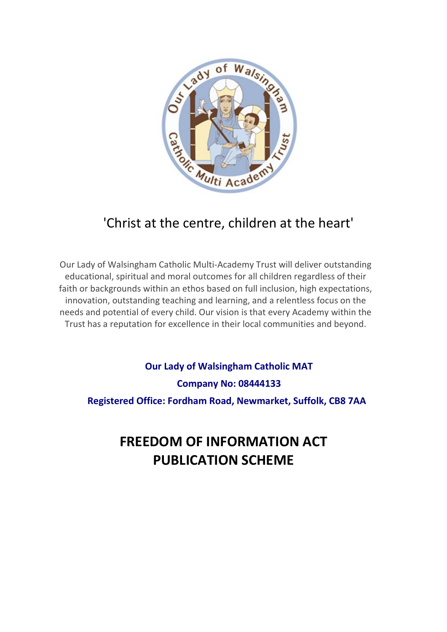

## 'Christ at the centre, children at the heart'

Our Lady of Walsingham Catholic Multi-Academy Trust will deliver outstanding educational, spiritual and moral outcomes for all children regardless of their faith or backgrounds within an ethos based on full inclusion, high expectations, innovation, outstanding teaching and learning, and a relentless focus on the needs and potential of every child. Our vision is that every Academy within the Trust has a reputation for excellence in their local communities and beyond.

**Our Lady of Walsingham Catholic MAT Company No: 08444133 Registered Office: Fordham Road, Newmarket, Suffolk, CB8 7AA**

# **FREEDOM OF INFORMATION ACT PUBLICATION SCHEME**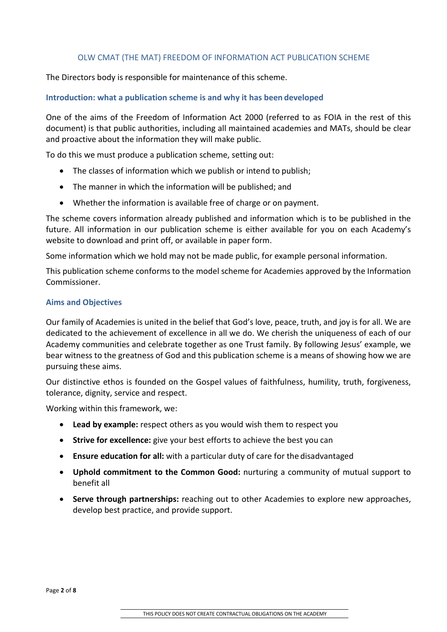#### OLW CMAT (THE MAT) FREEDOM OF INFORMATION ACT PUBLICATION SCHEME

The Directors body is responsible for maintenance of this scheme.

#### **Introduction: what a publication scheme is and why it has been developed**

One of the aims of the Freedom of Information Act 2000 (referred to as FOIA in the rest of this document) is that public authorities, including all maintained academies and MATs, should be clear and proactive about the information they will make public.

To do this we must produce a publication scheme, setting out:

- The classes of information which we publish or intend to publish;
- The manner in which the information will be published; and
- Whether the information is available free of charge or on payment.

The scheme covers information already published and information which is to be published in the future. All information in our publication scheme is either available for you on each Academy's website to download and print off, or available in paper form.

Some information which we hold may not be made public, for example personal information.

This publication scheme conforms to the model scheme for Academies approved by the Information Commissioner.

#### **Aims and Objectives**

Our family of Academies is united in the belief that God's love, peace, truth, and joy is for all. We are dedicated to the achievement of excellence in all we do. We cherish the uniqueness of each of our Academy communities and celebrate together as one Trust family. By following Jesus' example, we bear witness to the greatness of God and this publication scheme is a means of showing how we are pursuing these aims.

Our distinctive ethos is founded on the Gospel values of faithfulness, humility, truth, forgiveness, tolerance, dignity, service and respect.

Working within this framework, we:

- **Lead by example:** respect others as you would wish them to respect you
- **Strive for excellence:** give your best efforts to achieve the best you can
- **Ensure education for all:** with a particular duty of care for the disadvantaged
- **Uphold commitment to the Common Good:** nurturing a community of mutual support to benefit all
- **Serve through partnerships:** reaching out to other Academies to explore new approaches, develop best practice, and provide support.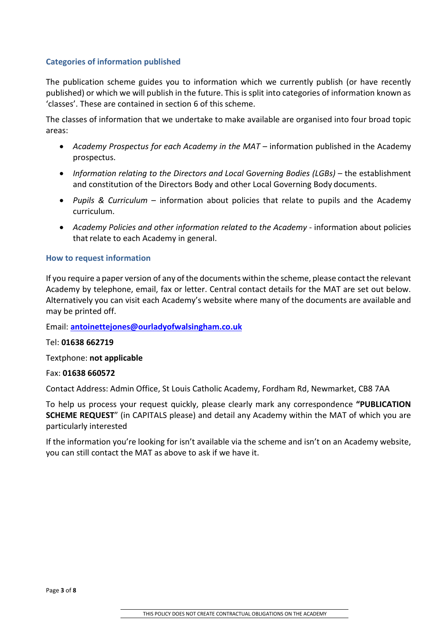### **Categories of information published**

The publication scheme guides you to information which we currently publish (or have recently published) or which we will publish in the future. This is split into categories of information known as 'classes'. These are contained in section 6 of this scheme.

The classes of information that we undertake to make available are organised into four broad topic areas:

- *Academy Prospectus for each Academy in the MAT* information published in the Academy prospectus.
- *Information relating to the Directors and Local* G*overning Bodies (LGBs)*  the establishment and constitution of the Directors Body and other Local Governing Body documents.
- *Pupils & Curriculum* information about policies that relate to pupils and the Academy curriculum.
- *Academy Policies and other information related to the Academy* information about policies that relate to each Academy in general.

#### **How to request information**

If you require a paper version of any of the documents within the scheme, please contact the relevant Academy by telephone, email, fax or letter. Central contact details for the MAT are set out below. Alternatively you can visit each Academy's website where many of the documents are available and may be printed off.

Email: **[antoinettejones@ourladyofwalsingham.co.uk](mailto:antoinettejones@ourladyofwalsingham.co.uk)**

Tel: **01638 662719**

Textphone: **not applicable**

#### Fax: **01638 660572**

Contact Address: Admin Office, St Louis Catholic Academy, Fordham Rd, Newmarket, CB8 7AA

To help us process your request quickly, please clearly mark any correspondence **"PUBLICATION SCHEME REQUEST**" (in CAPITALS please) and detail any Academy within the MAT of which you are particularly interested

If the information you're looking for isn't available via the scheme and isn't on an Academy website, you can still contact the MAT as above to ask if we have it.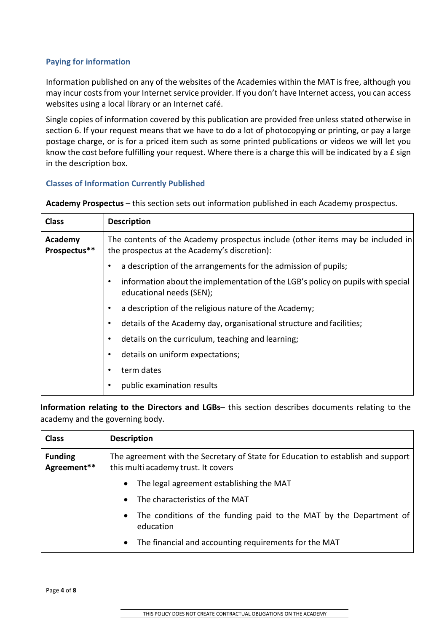## **Paying for information**

Information published on any of the websites of the Academies within the MAT is free, although you may incur costs from your Internet service provider. If you don't have Internet access, you can access websites using a local library or an Internet café.

Single copies of information covered by this publication are provided free unless stated otherwise in section 6. If your request means that we have to do a lot of photocopying or printing, or pay a large postage charge, or is for a priced item such as some printed publications or videos we will let you know the cost before fulfilling your request. Where there is a charge this will be indicated by a £ sign in the description box.

### **Classes of Information Currently Published**

**Academy Prospectus** – this section sets out information published in each Academy prospectus.

| <b>Class</b>            | <b>Description</b>                                                                                                             |  |
|-------------------------|--------------------------------------------------------------------------------------------------------------------------------|--|
| Academy<br>Prospectus** | The contents of the Academy prospectus include (other items may be included in<br>the prospectus at the Academy's discretion): |  |
|                         | a description of the arrangements for the admission of pupils;                                                                 |  |
|                         | information about the implementation of the LGB's policy on pupils with special<br>educational needs (SEN);                    |  |
|                         | a description of the religious nature of the Academy;                                                                          |  |
|                         | details of the Academy day, organisational structure and facilities;                                                           |  |
|                         | details on the curriculum, teaching and learning;                                                                              |  |
|                         | details on uniform expectations;                                                                                               |  |
|                         | term dates                                                                                                                     |  |
|                         | public examination results                                                                                                     |  |

**Information relating to the Directors and LGBs**– this section describes documents relating to the academy and the governing body.

| <b>Class</b>                  | <b>Description</b>                                                                                                      |  |
|-------------------------------|-------------------------------------------------------------------------------------------------------------------------|--|
| <b>Funding</b><br>Agreement** | The agreement with the Secretary of State for Education to establish and support<br>this multi academy trust. It covers |  |
|                               | The legal agreement establishing the MAT<br>$\bullet$                                                                   |  |
|                               | The characteristics of the MAT                                                                                          |  |
|                               | The conditions of the funding paid to the MAT by the Department of<br>$\bullet$<br>education                            |  |
|                               | The financial and accounting requirements for the MAT<br>$\bullet$                                                      |  |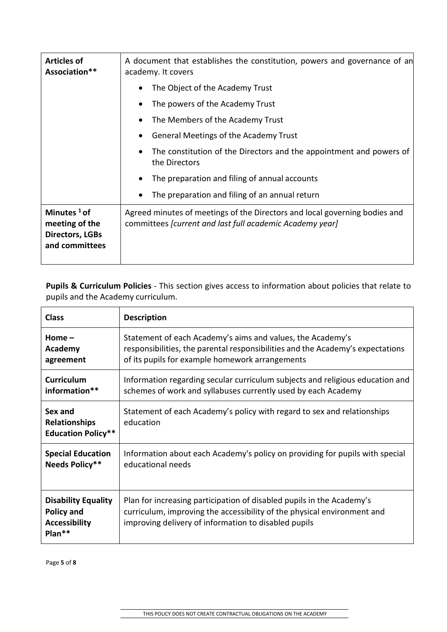| <b>Articles of</b><br>Association**                                          | A document that establishes the constitution, powers and governance of an<br>academy. It covers                                               |  |
|------------------------------------------------------------------------------|-----------------------------------------------------------------------------------------------------------------------------------------------|--|
|                                                                              | The Object of the Academy Trust                                                                                                               |  |
|                                                                              | The powers of the Academy Trust                                                                                                               |  |
|                                                                              | The Members of the Academy Trust                                                                                                              |  |
|                                                                              | General Meetings of the Academy Trust                                                                                                         |  |
|                                                                              | The constitution of the Directors and the appointment and powers of<br>the Directors                                                          |  |
|                                                                              | The preparation and filing of annual accounts                                                                                                 |  |
|                                                                              | The preparation and filing of an annual return                                                                                                |  |
| Minutes $1$ of<br>meeting of the<br><b>Directors, LGBs</b><br>and committees | Agreed minutes of meetings of the Directors and local governing bodies and<br>committees <i>[current and last full academic Academy year]</i> |  |

**Pupils & Curriculum Policies** - This section gives access to information about policies that relate to pupils and the Academy curriculum.

| <b>Class</b>                                                                        | <b>Description</b>                                                                                                                                                                                       |  |
|-------------------------------------------------------------------------------------|----------------------------------------------------------------------------------------------------------------------------------------------------------------------------------------------------------|--|
| Home $-$                                                                            | Statement of each Academy's aims and values, the Academy's                                                                                                                                               |  |
| Academy                                                                             | responsibilities, the parental responsibilities and the Academy's expectations                                                                                                                           |  |
| agreement                                                                           | of its pupils for example homework arrangements                                                                                                                                                          |  |
| <b>Curriculum</b>                                                                   | Information regarding secular curriculum subjects and religious education and                                                                                                                            |  |
| information**                                                                       | schemes of work and syllabuses currently used by each Academy                                                                                                                                            |  |
| Sex and<br><b>Relationships</b><br><b>Education Policy**</b>                        | Statement of each Academy's policy with regard to sex and relationships<br>education                                                                                                                     |  |
| <b>Special Education</b>                                                            | Information about each Academy's policy on providing for pupils with special                                                                                                                             |  |
| Needs Policy**                                                                      | educational needs                                                                                                                                                                                        |  |
| <b>Disability Equality</b><br><b>Policy and</b><br><b>Accessibility</b><br>$Plan**$ | Plan for increasing participation of disabled pupils in the Academy's<br>curriculum, improving the accessibility of the physical environment and<br>improving delivery of information to disabled pupils |  |

Page **5** of **8**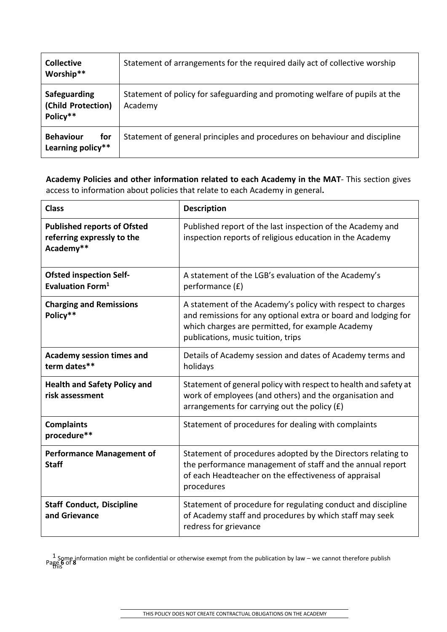| <b>Collective</b><br>Worship**                 | Statement of arrangements for the required daily act of collective worship             |
|------------------------------------------------|----------------------------------------------------------------------------------------|
| Safeguarding<br>(Child Protection)<br>Policy** | Statement of policy for safeguarding and promoting welfare of pupils at the<br>Academy |
| <b>Behaviour</b><br>for<br>Learning policy**   | Statement of general principles and procedures on behaviour and discipline             |

**Academy Policies and other information related to each Academy in the MAT**- This section gives access to information about policies that relate to each Academy in general**.**

| <b>Class</b>                                                                  | <b>Description</b>                                                                                                                                                                                                      |
|-------------------------------------------------------------------------------|-------------------------------------------------------------------------------------------------------------------------------------------------------------------------------------------------------------------------|
| <b>Published reports of Ofsted</b><br>referring expressly to the<br>Academy** | Published report of the last inspection of the Academy and<br>inspection reports of religious education in the Academy                                                                                                  |
| <b>Ofsted inspection Self-</b><br>Evaluation Form <sup>1</sup>                | A statement of the LGB's evaluation of the Academy's<br>performance (£)                                                                                                                                                 |
| <b>Charging and Remissions</b><br>Policy**                                    | A statement of the Academy's policy with respect to charges<br>and remissions for any optional extra or board and lodging for<br>which charges are permitted, for example Academy<br>publications, music tuition, trips |
| <b>Academy session times and</b><br>term dates**                              | Details of Academy session and dates of Academy terms and<br>holidays                                                                                                                                                   |
| <b>Health and Safety Policy and</b><br>risk assessment                        | Statement of general policy with respect to health and safety at<br>work of employees (and others) and the organisation and<br>arrangements for carrying out the policy $(f)$                                           |
| <b>Complaints</b><br>procedure**                                              | Statement of procedures for dealing with complaints                                                                                                                                                                     |
| <b>Performance Management of</b><br><b>Staff</b>                              | Statement of procedures adopted by the Directors relating to<br>the performance management of staff and the annual report<br>of each Headteacher on the effectiveness of appraisal<br>procedures                        |
| <b>Staff Conduct, Discipline</b><br>and Grievance                             | Statement of procedure for regulating conduct and discipline<br>of Academy staff and procedures by which staff may seek<br>redress for grievance                                                                        |

1 Some information might be confidential or otherwise exempt from the publication by law – we cannot therefore publish<br>Page **6** of 8 this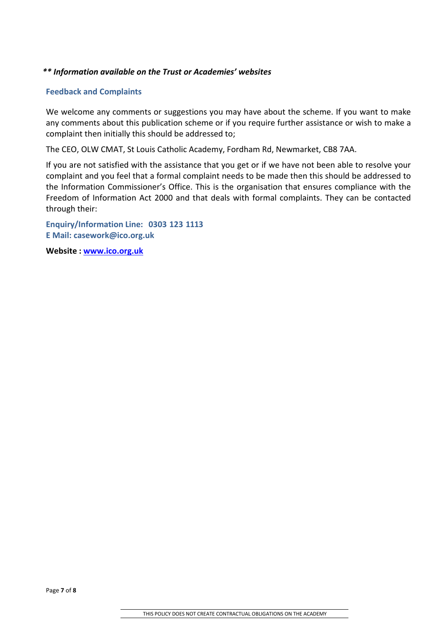#### *\*\* Information available on the Trust or Academies' websites*

#### **Feedback and Complaints**

We welcome any comments or suggestions you may have about the scheme. If you want to make any comments about this publication scheme or if you require further assistance or wish to make a complaint then initially this should be addressed to;

The CEO, OLW CMAT, St Louis Catholic Academy, Fordham Rd, Newmarket, CB8 7AA.

If you are not satisfied with the assistance that you get or if we have not been able to resolve your complaint and you feel that a formal complaint needs to be made then this should be addressed to the Information Commissioner's Office. This is the organisation that ensures compliance with the Freedom of Information Act 2000 and that deals with formal complaints. They can be contacted through their:

**Enquiry/Information Line: 0303 123 1113 E Mail: [casework@ico.org.uk](mailto:casework@ico.org.uk)**

**Website : [www.ico.org.uk](http://www.ico.org.uk/)**